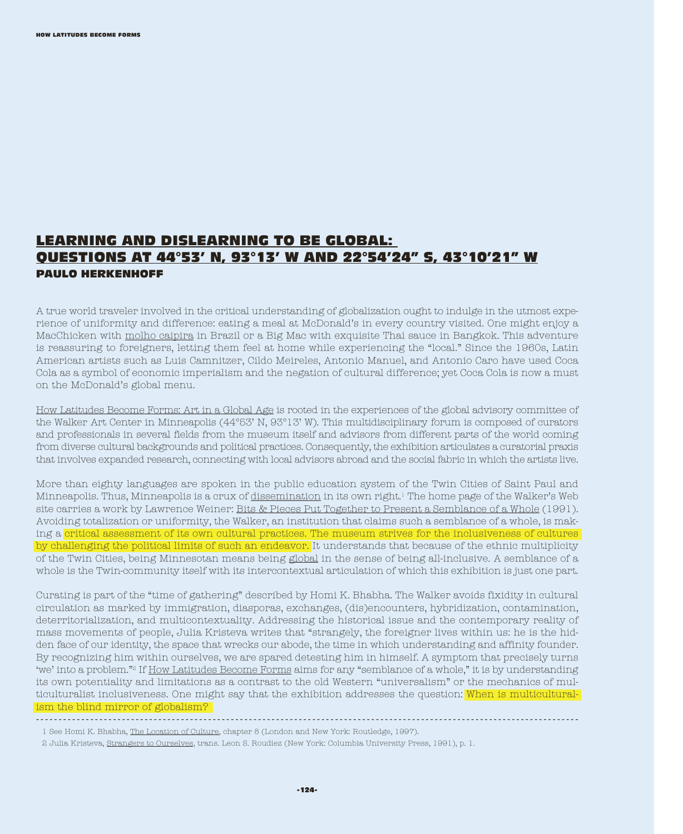## LEARNING AND DISLEARNING TO BE GLOBAL: QUESTIONS AT 44°53' N, 93°13' W AND 22°54'24" S, 43°10'21" W PAULO HERKENHOFF

A true world traveler involved in the critical understanding of globalization ought to indulge in the utmost experience of uniformity and difference: eating a meal at McDonald's in every country visited. One might enjoy a MacChicken with molho caipira in Brazil or a Big Mac with exquisite Thai sauce in Bangkok. This adventure is reassuring to foreigners, letting them feel at home while experiencing the "local." Since the 1960s, Latin American artists such as Luis Camnitzer, Cildo Meireles, Antonio Manuel, and Antonio Caro have used Coca Cola as a symbol of economic imperialism and the negation of cultural difference; yet Coca Cola is now a must on the McDonald's global menu.

How Latitudes Become Forms: Art in a Global Age is rooted in the experiences of the global advisory committee of the Walker Art Center in Minneapolis (44°53' N, 93°13' W). This multidisciplinary forum is composed of curators and professionals in several fields from the museum itself and advisors from different parts of the world coming from diverse cultural backgrounds and political practices. Consequently, the exhibition articulates a curatorial praxis that involves expanded research, connecting with local advisors abroad and the social fabric in which the artists live.

More than eighty languages are spoken in the public education system of the Twin Cities of Saint Paul and Minneapolis. Thus, Minneapolis is a crux of dissemination in its own right.1 The home page of the Walker's Web site carries a work by Lawrence Weiner: Bits & Pieces Put Together to Present a Semblance of a Whole (1991). Avoiding totalization or uniformity, the Walker, an institution that claims such a semblance of a whole, is making a critical assessment of its own cultural practices. The museum strives for the inclusiveness of cultures by challenging the political limits of such an endeavor. It understands that because of the ethnic multiplicity of the Twin Cities, being Minnesotan means being global in the sense of being all-inclusive. A semblance of a whole is the Twin-community itself with its intercontextual articulation of which this exhibition is just one part.

Curating is part of the "time of gathering" described by Homi K. Bhabha. The Walker avoids fixidity in cultural circulation as marked by immigration, diasporas, exchanges, (dis)encounters, hybridization, contamination, deterritorialization, and multicontextuality. Addressing the historical issue and the contemporary reality of mass movements of people, Julia Kristeva writes that "strangely, the foreigner lives within us: he is the hidden face of our identity, the space that wrecks our abode, the time in which understanding and affinity founder. By recognizing him within ourselves, we are spared detesting him in himself. A symptom that precisely turns 'we' into a problem."2 If How Latitudes Become Forms aims for any "semblance of a whole," it is by understanding its own potentiality and limitations as a contrast to the old Western "universalism" or the mechanics of multiculturalist inclusiveness. One might say that the exhibition addresses the question: When is multiculturalism the blind mirror of globalism?

------------------------------------------------------------------------------------------------------------------------

<sup>1</sup> See Homi K. Bhabha, The Location of Culture, chapter 8 (London and New York: Routledge, 1997).

<sup>2</sup> Julia Kristeva, Strangers to Ourselves, trans. Leon S. Roudiez (New York: Columbia University Press, 1991), p. 1.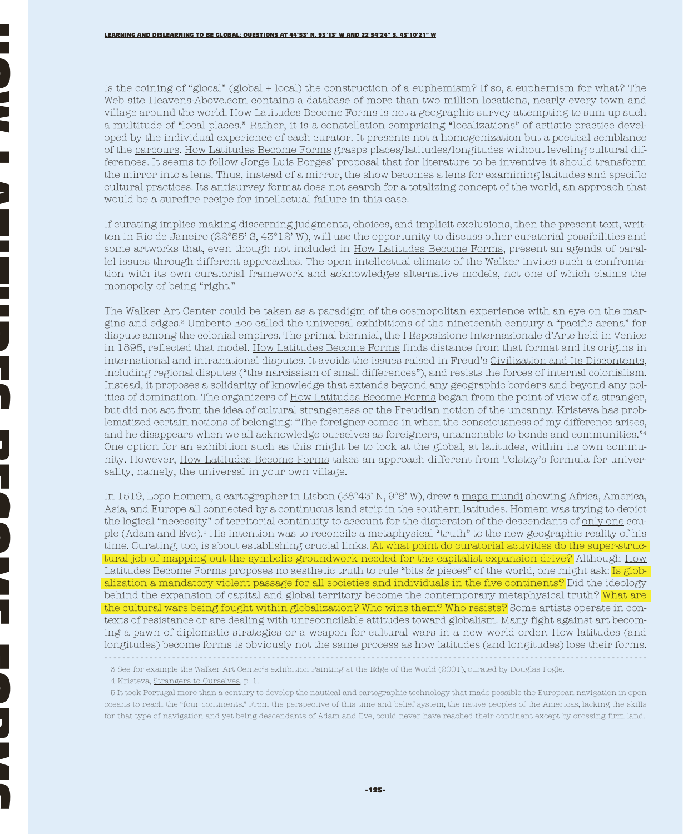HOW I

LATITUDES EN LATITUDES EN LATITUDES EN LATITUDES EN LATITUDES EN LATITUDES EN LATITUDES EN LATITUDES EN LATITUD

J<br>B<br>B

FORMS

Is the coining of "glocal" (global + local) the construction of a euphemism? If so, a euphemism for what? The Web site Heavens-Above.com contains a database of more than two million locations, nearly every town and village around the world. How Latitudes Become Forms is not a geographic survey attempting to sum up such a multitude of "local places." Rather, it is a constellation comprising "localizations" of artistic practice developed by the individual experience of each curator. It presents not a homogenization but a poetical semblance of the parcours. How Latitudes Become Forms grasps places/latitudes/longitudes without leveling cultural differences. It seems to follow Jorge Luis Borges' proposal that for literature to be inventive it should transform the mirror into a lens. Thus, instead of a mirror, the show becomes a lens for examining latitudes and specific cultural practices. Its antisurvey format does not search for a totalizing concept of the world, an approach that would be a surefire recipe for intellectual failure in this case.

If curating implies making discerning judgments, choices, and implicit exclusions, then the present text, written in Rio de Janeiro (22°55' S, 43°12' W), will use the opportunity to discuss other curatorial possibilities and some artworks that, even though not included in How Latitudes Become Forms, present an agenda of parallel issues through different approaches. The open intellectual climate of the Walker invites such a confrontation with its own curatorial framework and acknowledges alternative models, not one of which claims the monopoly of being "right."

The Walker Art Center could be taken as a paradigm of the cosmopolitan experience with an eye on the margins and edges.3 Umberto Eco called the universal exhibitions of the nineteenth century a "pacific arena" for dispute among the colonial empires. The primal biennial, the *I Esposizione Internazionale d'Arte* held in Venice in 1895, reflected that model. How Latitudes Become Forms finds distance from that format and its origins in international and intranational disputes. It avoids the issues raised in Freud's Civilization and Its Discontents, including regional disputes ("the narcissism of small differences"), and resists the forces of internal colonialism. Instead, it proposes a solidarity of knowledge that extends beyond any geographic borders and beyond any politics of domination. The organizers of How Latitudes Become Forms began from the point of view of a stranger, but did not act from the idea of cultural strangeness or the Freudian notion of the uncanny. Kristeva has problematized certain notions of belonging: "The foreigner comes in when the consciousness of my difference arises, and he disappears when we all acknowledge ourselves as foreigners, unamenable to bonds and communities."4 One option for an exhibition such as this might be to look at the global, at latitudes, within its own community. However, How Latitudes Become Forms takes an approach different from Tolstoy's formula for universality, namely, the universal in your own village.

In 1519, Lopo Homem, a cartographer in Lisbon (38°43' N, 9°8' W), drew a mapa mundi showing Africa, America, Asia, and Europe all connected by a continuous land strip in the southern latitudes. Homem was trying to depict the logical "necessity" of territorial continuity to account for the dispersion of the descendants of <u>only one</u> couple (Adam and Eve).5 His intention was to reconcile a metaphysical "truth" to the new geographic reality of his time. Curating, too, is about establishing crucial links. At what point do curatorial activities do the super-structural job of mapping out the symbolic groundwork needed for the capitalist expansion drive? Although How Latitudes Become Forms proposes no aesthetic truth to rule "bits & pieces" of the world, one might ask: Is globalization a mandatory violent passage for all societies and individuals in the five continents? Did the ideology behind the expansion of capital and global territory become the contemporary metaphysical truth? What are the cultural wars being fought within globalization? Who wins them? Who resists? Some artists operate in contexts of resistance or are dealing with unreconcilable attitudes toward globalism. Many fight against art becoming a pawn of diplomatic strategies or a weapon for cultural wars in a new world order. How latitudes (and longitudes) become forms is obviously not the same process as how latitudes (and longitudes) lose their forms. ------------------------------------------------------------------------------------------------------------------------

<sup>3</sup> See for example the Walker Art Center's exhibition Painting at the Edge of the World (2001), curated by Douglas Fogle.

<sup>4</sup> Kristeva, Strangers to Ourselves, p. 1.

<sup>5</sup> It took Portugal more than a century to develop the nautical and cartographic technology that made possible the European navigation in open oceans to reach the "four continents." From the perspective of this time and belief system, the native peoples of the Americas, lacking the skills for that type of navigation and yet being descendants of Adam and Eve, could never have reached their continent except by crossing firm land.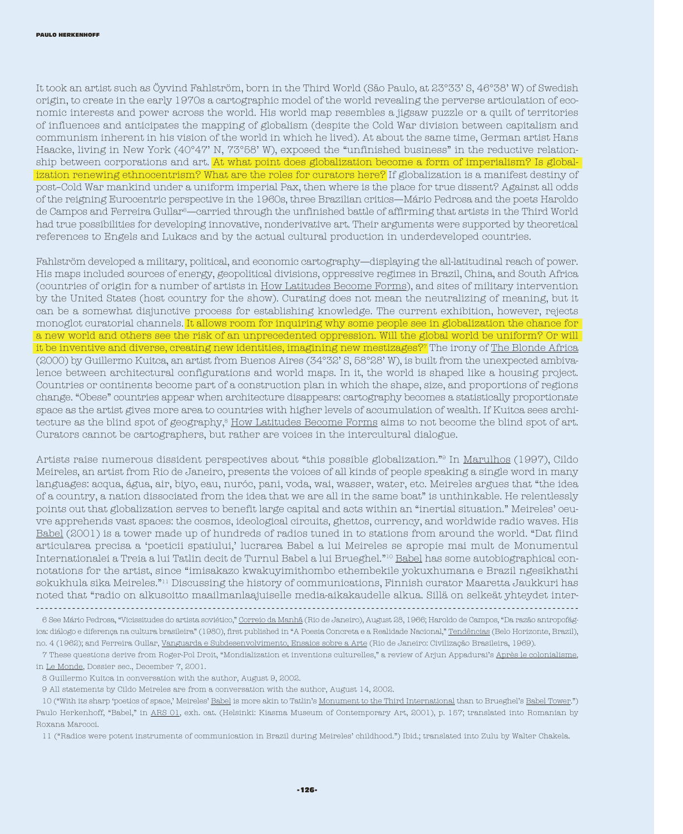It took an artist such as Öyvind Fahlström, born in the Third World (São Paulo, at 23°33' S, 46°38' W) of Swedish origin, to create in the early 1970s a cartographic model of the world revealing the perverse articulation of economic interests and power across the world. His world map resembles a jigsaw puzzle or a quilt of territories of influences and anticipates the mapping of globalism (despite the Cold War division between capitalism and communism inherent in his vision of the world in which he lived). At about the same time, German artist Hans Haacke, living in New York (40°47' N, 73°58' W), exposed the "unfinished business" in the reductive relationship between corporations and art. At what point does globalization become a form of imperialism? Is globalization renewing ethnocentrism? What are the roles for curators here? If globalization is a manifest destiny of post–Cold War mankind under a uniform imperial Pax, then where is the place for true dissent? Against all odds of the reigning Eurocentric perspective in the 1960s, three Brazilian critics—Mário Pedrosa and the poets Haroldo de Campos and Ferreira Gullar6—carried through the unfinished battle of affirming that artists in the Third World had true possibilities for developing innovative, nonderivative art. Their arguments were supported by theoretical references to Engels and Lukacs and by the actual cultural production in underdeveloped countries.

Fahlström developed a military, political, and economic cartography—displaying the all-latitudinal reach of power. His maps included sources of energy, geopolitical divisions, oppressive regimes in Brazil, China, and South Africa (countries of origin for a number of artists in How Latitudes Become Forms), and sites of military intervention by the United States (host country for the show). Curating does not mean the neutralizing of meaning, but it can be a somewhat disjunctive process for establishing knowledge. The current exhibition, however, rejects monoglot curatorial channels. It allows room for inquiring why some people see in globalization the chance for a new world and others see the risk of an unprecedented oppression. Will the global world be uniform? Or will it be inventive and diverse, creating new identities, imagining new mestizages?<sup>7</sup> The irony of The Blonde Africa (2000) by Guillermo Kuitca, an artist from Buenos Aires (34°32' S, 58°28' W), is built from the unexpected ambivalence between architectural configurations and world maps. In it, the world is shaped like a housing project. Countries or continents become part of a construction plan in which the shape, size, and proportions of regions change. "Obese" countries appear when architecture disappears: cartography becomes a statistically proportionate space as the artist gives more area to countries with higher levels of accumulation of wealth. If Kuitca sees architecture as the blind spot of geography,<sup>8</sup> How Latitudes Become Forms aims to not become the blind spot of art. Curators cannot be cartographers, but rather are voices in the intercultural dialogue.

Artists raise numerous dissident perspectives about "this possible globalization."9 In Marulhos (1997), Cildo Meireles, an artist from Rio de Janeiro, presents the voices of all kinds of people speaking a single word in many languages: acqua, água, air, biyo, eau, nuróc, pani, voda, wai, wasser, water, etc. Meireles argues that "the idea of a country, a nation dissociated from the idea that we are all in the same boat" is unthinkable. He relentlessly points out that globalization serves to benefit large capital and acts within an "inertial situation." Meireles' oeuvre apprehends vast spaces: the cosmos, ideological circuits, ghettos, currency, and worldwide radio waves. His Babel (2001) is a tower made up of hundreds of radios tuned in to stations from around the world. "Dat fiind articularea precisa a 'poeticii spatiului,' lucrarea Babel a lui Meireles se apropie mai mult de Monumentul Internationalei a Treia a lui Tatlin decit de Turnul Babel a lui Brueghel."10 Babel has some autobiographical connotations for the artist, since "imisakazo kwakuyimithombo ethembekile yokuxhumana e Brazil ngesikhathi sokukhula sika Meireles."11 Discussing the history of communications, Finnish curator Maaretta Jaukkuri has noted that "radio on alkusoitto maailmanlaajuiselle media-aikakaudelle alkua. Sillä on selkeät yhteydet inter-

8 Guillermo Kuitca in conversation with the author, August 9, 2002.

9 All statements by Cildo Meireles are from a conversation with the author, August 14, 2002.

10 ("With its sharp 'poetics of space,' Meireles' Babel is more akin to Tatlin's Monument to the Third International than to Brueghel's Babel Tower.") Paulo Herkenhoff, "Babel," in ARS 01, exh. cat. (Helsinki: Kiasma Museum of Contemporary Art, 2001), p. 157; translated into Romanian by Roxana Marcoci.

11 ("Radios were potent instruments of communication in Brazil during Meireles' childhood.") Ibid.; translated into Zulu by Walter Chakela.

<sup>------------------------------------------------------------------------------------------------------------------------</sup> 6 See Mário Pedrosa, "Vicissitudes do artista soviético," Correio da Manhã (Rio de Janeiro), August 28, 1966; Haroldo de Campos, "Da razão antropofágica: diálogo e diferença na cultura brasileira" (1980), first published in "A Poesia Concreta e a Realidade Nacional," Tendências (Belo Horizonte, Brazil), no. 4 (1962); and Ferreira Gullar, Vanguarda e Subdesenvolvimento, Ensaios sobre a Arte (Rio de Janeiro: Civilização Brasileira, 1969).

<sup>7</sup> These questions derive from Roger-Pol Droit, "Mondialization et inventions culturelles," a review of Arjun Appadurai's Après le colonialisme, in Le Monde, Dossier sec., December 7, 2001.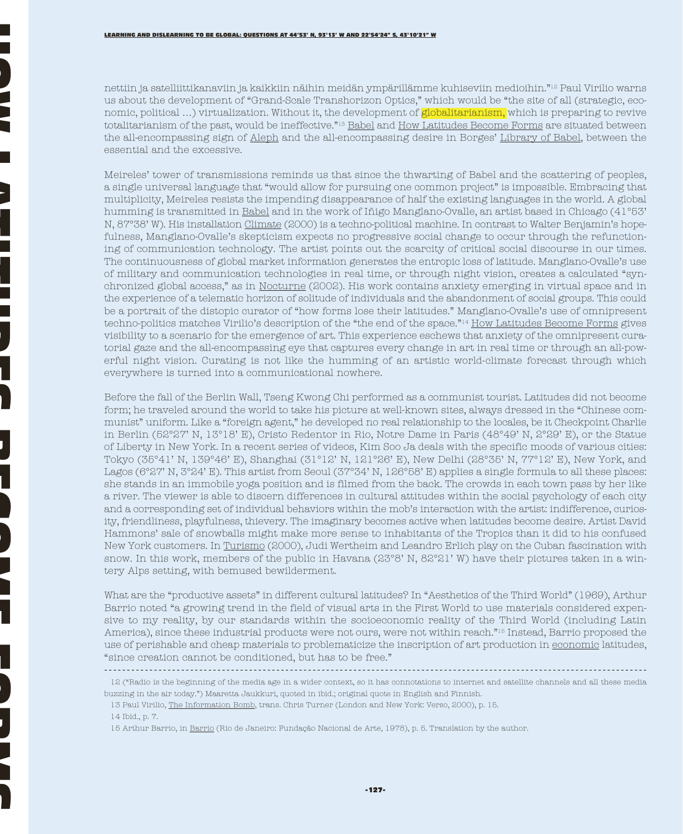nettiin ja satelliittikanaviin ja kaikkiin näihin meidän ympärillämme kuhiseviin medioihin."12 Paul Virilio warns us about the development of "Grand-Scale Transhorizon Optics," which would be "the site of all (strategic, economic, political …) virtualization. Without it, the development of globalitarianism, which is preparing to revive totalitarianism of the past, would be ineffective."13 Babel and How Latitudes Become Forms are situated between the all-encompassing sign of Aleph and the all-encompassing desire in Borges' Library of Babel, between the essential and the excessive.

Meireles' tower of transmissions reminds us that since the thwarting of Babel and the scattering of peoples, a single universal language that "would allow for pursuing one common project" is impossible. Embracing that multiplicity, Meireles resists the impending disappearance of half the existing languages in the world. A global humming is transmitted in Babel and in the work of Iñigo Manglano-Ovalle, an artist based in Chicago (41°53' N, 87°38' W). His installation Climate (2000) is a techno-political machine. In contrast to Walter Benjamin's hopefulness, Manglano-Ovalle's skepticism expects no progressive social change to occur through the refunctioning of communication technology. The artist points out the scarcity of critical social discourse in our times. The continuousness of global market information generates the entropic loss of latitude. Manglano-Ovalle's use of military and communication technologies in real time, or through night vision, creates a calculated "synchronized global access," as in Nocturne (2002). His work contains anxiety emerging in virtual space and in the experience of a telematic horizon of solitude of individuals and the abandonment of social groups. This could be a portrait of the distopic curator of "how forms lose their latitudes." Manglano-Ovalle's use of omnipresent techno-politics matches Virilio's description of the "the end of the space."14 How Latitudes Become Forms gives visibility to a scenario for the emergence of art. This experience eschews that anxiety of the omnipresent curatorial gaze and the all-encompassing eye that captures every change in art in real time or through an all-powerful night vision. Curating is not like the humming of an artistic world-climate forecast through which everywhere is turned into a communicational nowhere.

Before the fall of the Berlin Wall, Tseng Kwong Chi performed as a communist tourist. Latitudes did not become form; he traveled around the world to take his picture at well-known sites, always dressed in the "Chinese communist" uniform. Like a "foreign agent," he developed no real relationship to the locales, be it Checkpoint Charlie in Berlin (52°27' N, 13°18' E), Cristo Redentor in Rio, Notre Dame in Paris (48°49' N, 2°29' E), or the Statue of Liberty in New York. In a recent series of videos, Kim Soo Ja deals with the specific moods of various cities: Tokyo (35°41' N, 139°46' E), Shanghai (31°12' N, 121°26' E), New Delhi (28°35' N, 77°12' E), New York, and Lagos (6°27' N, 3°24' E). This artist from Seoul (37°34' N, 126°58' E) applies a single formula to all these places: she stands in an immobile yoga position and is filmed from the back. The crowds in each town pass by her like a river. The viewer is able to discern differences in cultural attitudes within the social psychology of each city and a corresponding set of individual behaviors within the mob's interaction with the artist: indifference, curiosity, friendliness, playfulness, thievery. The imaginary becomes active when latitudes become desire. Artist David Hammons' sale of snowballs might make more sense to inhabitants of the Tropics than it did to his confused New York customers. In Turismo (2000), Judi Wertheim and Leandro Erlich play on the Cuban fascination with snow. In this work, members of the public in Havana (23°8' N, 82°21' W) have their pictures taken in a wintery Alps setting, with bemused bewilderment.

What are the "productive assets" in different cultural latitudes? In "Aesthetics of the Third World" (1969), Arthur Barrio noted "a growing trend in the field of visual arts in the First World to use materials considered expensive to my reality, by our standards within the socioeconomic reality of the Third World (including Latin America), since these industrial products were not ours, were not within reach."15 Instead, Barrio proposed the use of perishable and cheap materials to problematicize the inscription of art production in economic latitudes, "since creation cannot be conditioned, but has to be free."

<sup>------------------------------------------------------------------------------------------------------------------------</sup>

<sup>12 (&</sup>quot;Radio is the beginning of the media age in a wider context, so it has connotations to internet and satellite channels and all these media buzzing in the air today.") Maaretta Jaukkuri, quoted in ibid.; original quote in English and Finnish.

<sup>13</sup> Paul Virilio, The Information Bomb, trans. Chris Turner (London and New York: Verso, 2000), p. 15.

<sup>14</sup> Ibid., p. 7.

<sup>15</sup> Arthur Barrio, in Barrio (Rio de Janeiro: Fundação Nacional de Arte, 1978), p. 5. Translation by the author.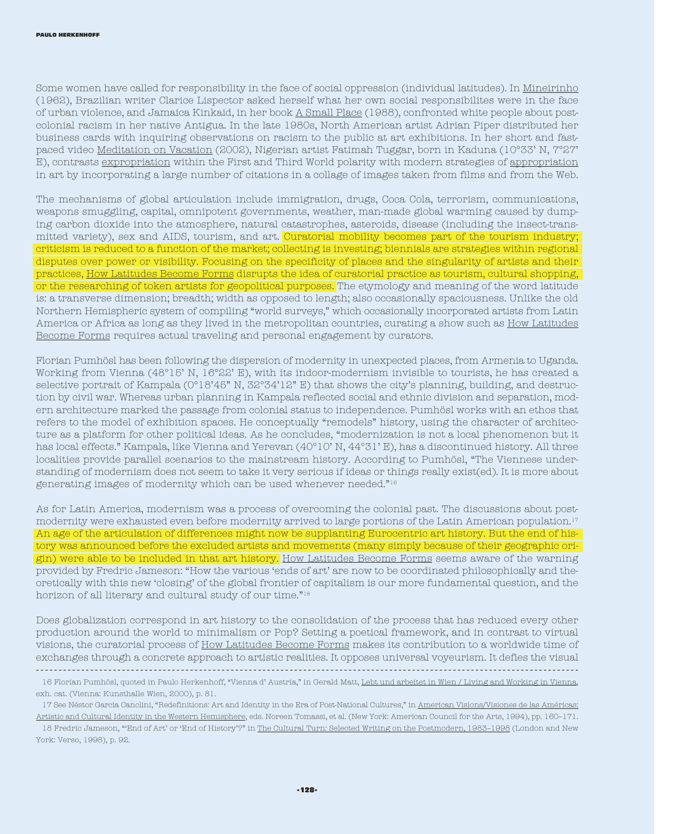Some women have called for responsibility in the face of social oppression (individual latitudes). In Mineirinho (1962), Brazilian writer Clarice Lispector asked herself what her own social responsibilites were in the face of urban violence, and Jamaica Kinkaid, in her book A Small Place (1988), confronted white people about postcolonial racism in her native Antigua. In the late 1980s, North American artist Adrian Piper distributed her business cards with inquiring observations on racism to the public at art exhibitions. In her short and fastpaced video Meditation on Vacation (2002), Nigerian artist Fatimah Tuggar, born in Kaduna (10°33' N, 7°27' E), contrasts expropriation within the First and Third World polarity with modern strategies of appropriation in art by incorporating a large number of citations in a collage of images taken from films and from the Web.

The mechanisms of global articulation include immigration, drugs, Coca Cola, terrorism, communications, weapons smuggling, capital, omnipotent governments, weather, man-made global warming caused by dumping carbon dioxide into the atmosphere, natural catastrophes, asteroids, disease (including the insect-transmitted variety), sex and AIDS, tourism, and art. Curatorial mobility becomes part of the tourism industry; criticism is reduced to a function of the market; collecting is investing; biennials are strategies within regional disputes over power or visibility. Focusing on the specificity of places and the singularity of artists and their practices, How Latitudes Become Forms disrupts the idea of curatorial practice as tourism, cultural shopping, or the researching of token artists for geopolitical purposes. The etymology and meaning of the word latitude is: a transverse dimension; breadth; width as opposed to length; also occasionally spaciousness. Unlike the old Northern Hemispheric system of compiling "world surveys," which occasionally incorporated artists from Latin America or Africa as long as they lived in the metropolitan countries, curating a show such as How Latitudes Become Forms requires actual traveling and personal engagement by curators.

Florian Pumhösl has been following the dispersion of modernity in unexpected places, from Armenia to Uganda. Working from Vienna (48°15' N, 16°22' E), with its indoor-modernism invisible to tourists, he has created a selective portrait of Kampala (0°18'45" N, 32°34'12" E) that shows the city's planning, building, and destruction by civil war. Whereas urban planning in Kampala reflected social and ethnic division and separation, modern architecture marked the passage from colonial status to independence. Pumhösl works with an ethos that refers to the model of exhibition spaces. He conceptually "remodels" history, using the character of architecture as a platform for other political ideas. As he concludes, "modernization is not a local phenomenon but it has local effects." Kampala, like Vienna and Yerevan (40°10' N, 44°31' E), has a discontinued history. All three localities provide parallel scenarios to the mainstream history. According to Pumhösl, "The Viennese understanding of modernism does not seem to take it very serious if ideas or things really exist(ed). It is more about generating images of modernity which can be used whenever needed."16

As for Latin America, modernism was a process of overcoming the colonial past. The discussions about postmodernity were exhausted even before modernity arrived to large portions of the Latin American population.17 An age of the articulation of differences might now be supplanting Eurocentric art history. But the end of history was announced before the excluded artists and movements (many simply because of their geographic origin) were able to be included in that art history. How Latitudes Become Forms seems aware of the warning provided by Fredric Jameson: "How the various 'ends of art' are now to be coordinated philosophically and theoretically with this new 'closing' of the global frontier of capitalism is our more fundamental question, and the horizon of all literary and cultural study of our time."18

Does globalization correspond in art history to the consolidation of the process that has reduced every other production around the world to minimalism or Pop? Setting a poetical framework, and in contrast to virtual visions, the curatorial process of How Latitudes Become Forms makes its contribution to a worldwide time of exchanges through a concrete approach to artistic realities. It opposes universal voyeurism. It defies the visual ------------------------------------------------------------------------------------------------------------------------

<sup>16</sup> Florian Pumhösl, quoted in Paulo Herkenhoff, "Vienna d' Austria," in Gerald Matt, Lebt und arbeitet in Wien / Living and Working in Vienna, exh. cat. (Vienna: Kunsthalle Wien, 2000), p. 81.

<sup>17</sup> See Néstor Garcia Canclini, "Redefinitions: Art and Identity in the Era of Post-National Cultures," in American Visions/Visiones de las Américas: Artistic and Cultural Identity in the Western Hemisphere, eds. Noreen Tomassi, et al. (New York: American Council for the Arts, 1994), pp. 160–171.

<sup>18</sup> Fredric Jameson, "'End of Art' or 'End of History'?" in The Cultural Turn: Selected Writing on the Postmodern, 1983–1998 (London and New York: Verso, 1998), p. 92.